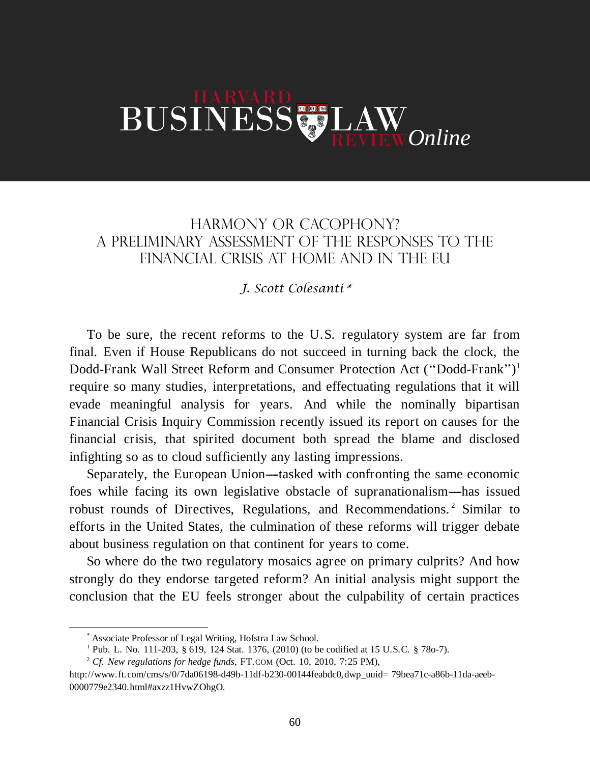## BUSINESS LAW *Online*

## HARMONY OR CACOPHONY? A PRELIMINARY ASSESSMENT OF THE RESPONSES TO THE FINANCIAL CRISIS AT HOME AND IN THE EU

## *J. Scott Colesanti\**

To be sure, the recent reforms to the U.S. regulatory system are far from final. Even if House Republicans do not succeed in turning back the clock, the Dodd-Frank Wall Street Reform and Consumer Protection Act (''Dodd-Frank'') 1 require so many studies, interpretations, and effectuating regulations that it will evade meaningful analysis for years. And while the nominally bipartisan Financial Crisis Inquiry Commission recently issued its report on causes for the financial crisis, that spirited document both spread the blame and disclosed infighting so as to cloud sufficiently any lasting impressions.

Separately, the European Union—tasked with confronting the same economic foes while facing its own legislative obstacle of supranationalism—has issued robust rounds of Directives, Regulations, and Recommendations. <sup>2</sup> Similar to efforts in the United States, the culmination of these reforms will trigger debate about business regulation on that continent for years to come.

So where do the two regulatory mosaics agree on primary culprits? And how strongly do they endorse targeted reform? An initial analysis might support the conclusion that the EU feels stronger about the culpability of certain practices

 $\overline{a}$ 

<sup>\*</sup> Associate Professor of Legal Writing, Hofstra Law School.

<sup>&</sup>lt;sup>1</sup> Pub. L. No. 111-203,  $\S 619$ , 124 Stat. 1376, (2010) (to be codified at 15 U.S.C.  $\S 780-7$ ).

<sup>2</sup> *Cf. New regulations for hedge funds*, FT.COM (Oct. 10, 2010, 7:25 PM),

http://www.ft.com/cms/s/0/7da06198-d49b-11df-b230-00144feabdc0,dwp\_uuid= 79bea71c-a86b-11da-aeeb-0000779e2340.html#axzz1HvwZOhgO.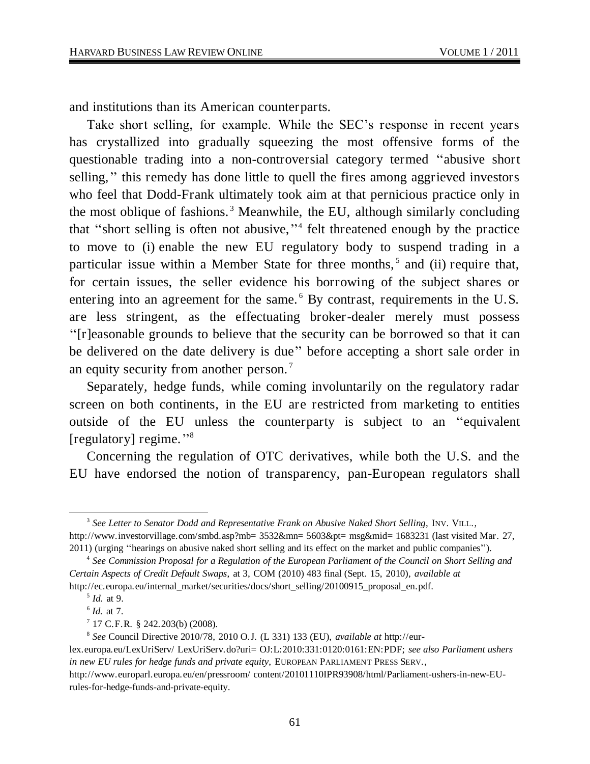and institutions than its American counterparts.

Take short selling, for example. While the SEC's response in recent years has crystallized into gradually squeezing the most offensive forms of the questionable trading into a non-controversial category termed ''abusive short selling,'' this remedy has done little to quell the fires among aggrieved investors who feel that Dodd-Frank ultimately took aim at that pernicious practice only in the most oblique of fashions.<sup>3</sup> Meanwhile, the EU, although similarly concluding that ''short selling is often not abusive,'' 4 felt threatened enough by the practice to move to (i) enable the new EU regulatory body to suspend trading in a particular issue within a Member State for three months,<sup>5</sup> and (ii) require that, for certain issues, the seller evidence his borrowing of the subject shares or entering into an agreement for the same.<sup>6</sup> By contrast, requirements in the U.S. are less stringent, as the effectuating broker-dealer merely must possess ''[r]easonable grounds to believe that the security can be borrowed so that it can be delivered on the date delivery is due'' before accepting a short sale order in an equity security from another person. <sup>7</sup>

Separately, hedge funds, while coming involuntarily on the regulatory radar screen on both continents, in the EU are restricted from marketing to entities outside of the EU unless the counterparty is subject to an ''equivalent [regulatory] regime."<sup>8</sup>

Concerning the regulation of OTC derivatives, while both the U.S. and the EU have endorsed the notion of transparency, pan-European regulators shall

 $\overline{a}$ 3 *See Letter to Senator Dodd and Representative Frank on Abusive Naked Short Selling*, INV. VILL., http://www.investorvillage.com/smbd.asp?mb= 3532&mn= 5603&pt= msg&mid= 1683231 (last visited Mar. 27, 2011) (urging ''hearings on abusive naked short selling and its effect on the market and public companies'').

<sup>4</sup> *See Commission Proposal for a Regulation of the European Parliament of the Council on Short Selling and Certain Aspects of Credit Default Swaps*, at 3, COM (2010) 483 final (Sept. 15, 2010), *available at*  http://ec.europa.eu/internal\_market/securities/docs/short\_selling/20100915\_proposal\_en.pdf.

<sup>5</sup> *Id.* at 9.

<sup>6</sup> *Id.* at 7.

 $7$  17 C.F.R. § 242.203(b) (2008).

<sup>8</sup> *See* Council Directive 2010/78, 2010 O.J. (L 331) 133 (EU), *available at* http://eur-

lex.europa.eu/LexUriServ/ LexUriServ.do?uri= OJ:L:2010:331:0120:0161:EN:PDF; *see also Parliament ushers in new EU rules for hedge funds and private equity*, EUROPEAN PARLIAMENT PRESS SERV.,

http://www.europarl.europa.eu/en/pressroom/ content/20101110IPR93908/html/Parliament-ushers-in-new-EUrules-for-hedge-funds-and-private-equity.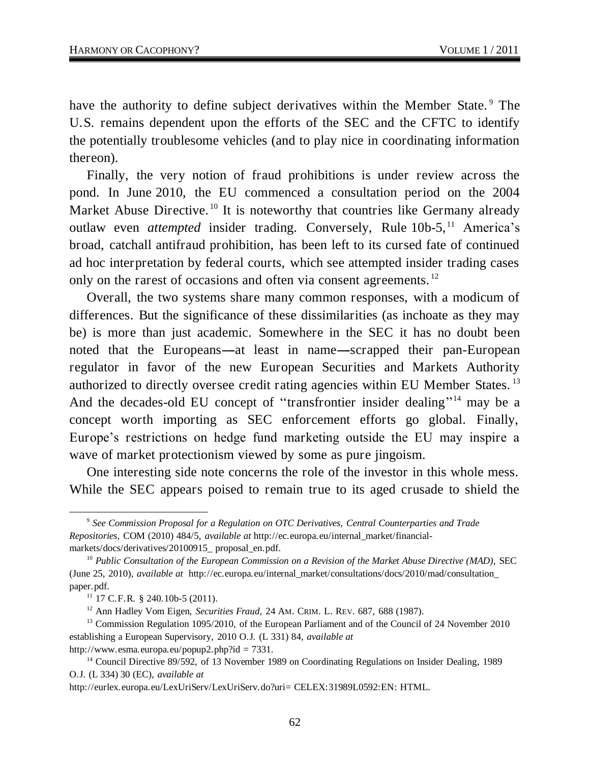have the authority to define subject derivatives within the Member State.<sup>9</sup> The U.S. remains dependent upon the efforts of the SEC and the CFTC to identify the potentially troublesome vehicles (and to play nice in coordinating information thereon).

Finally, the very notion of fraud prohibitions is under review across the pond. In June 2010, the EU commenced a consultation period on the 2004 Market Abuse Directive.<sup>10</sup> It is noteworthy that countries like Germany already outlaw even *attempted* insider trading. Conversely, Rule 10b-5,<sup>11</sup> America's broad, catchall antifraud prohibition, has been left to its cursed fate of continued ad hoc interpretation by federal courts, which see attempted insider trading cases only on the rarest of occasions and often via consent agreements.<sup>12</sup>

Overall, the two systems share many common responses, with a modicum of differences. But the significance of these dissimilarities (as inchoate as they may be) is more than just academic. Somewhere in the SEC it has no doubt been noted that the Europeans—at least in name—scrapped their pan-European regulator in favor of the new European Securities and Markets Authority authorized to directly oversee credit rating agencies within EU Member States. <sup>13</sup> And the decades-old EU concept of "transfrontier insider dealing"<sup>14</sup> may be a concept worth importing as SEC enforcement efforts go global. Finally, Europe's restrictions on hedge fund marketing outside the EU may inspire a wave of market protectionism viewed by some as pure jingoism.

One interesting side note concerns the role of the investor in this whole mess. While the SEC appears poised to remain true to its aged crusade to shield the

 $\overline{a}$ 

<sup>9</sup> *See Commission Proposal for a Regulation on OTC Derivatives, Central Counterparties and Trade Repositories*, COM (2010) 484/5, *available at* http://ec.europa.eu/internal\_market/financialmarkets/docs/derivatives/20100915\_proposal\_en.pdf.

<sup>&</sup>lt;sup>10</sup> Public Consultation of the European Commission on a Revision of the Market Abuse Directive (MAD), SEC (June 25, 2010), *available at* http://ec.europa.eu/internal\_market/consultations/docs/2010/mad/consultation\_ paper.pdf.

<sup>11</sup> 17 C.F.R. § 240.10b-5 (2011).

<sup>12</sup> Ann Hadley Vom Eigen, *Securities Fraud*, 24 AM. CRIM. L. REV. 687, 688 (1987).

<sup>&</sup>lt;sup>13</sup> Commission Regulation 1095/2010, of the European Parliament and of the Council of 24 November 2010 establishing a European Supervisory, 2010 O.J. (L 331) 84, *available at* http://www.esma.europa.eu/popup2.php?id = 7331.

<sup>&</sup>lt;sup>14</sup> Council Directive 89/592, of 13 November 1989 on Coordinating Regulations on Insider Dealing, 1989 O.J. (L 334) 30 (EC), *available at*

http://eurlex.europa.eu/LexUriServ/LexUriServ.do?uri= CELEX:31989L0592:EN: HTML.